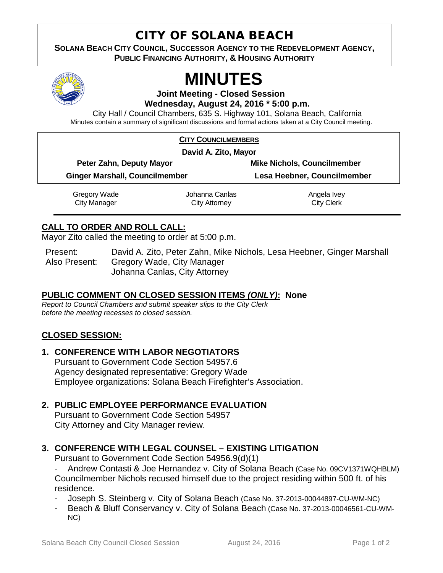# CITY OF SOLANA BEACH

**SOLANA BEACH CITY COUNCIL, SUCCESSOR AGENCY TO THE REDEVELOPMENT AGENCY, PUBLIC FINANCING AUTHORITY, & HOUSING AUTHORITY** 



# **MINUTES**

**Joint Meeting - Closed Session Wednesday, August 24, 2016 \* 5:00 p.m.**

City Hall / Council Chambers, 635 S. Highway 101, Solana Beach, California Minutes contain a summary of significant discussions and formal actions taken at a City Council meeting.

#### **CITY COUNCILMEMBERS**

**David A. Zito, Mayor**

| Peter Zahn, Deputy Mayor              | <b>Mike Nichols, Councilmember</b> |
|---------------------------------------|------------------------------------|
| <b>Ginger Marshall, Councilmember</b> | Lesa Heebner, Councilmember        |
|                                       |                                    |

Gregory Wade City Manager Johanna Canlas City Attorney Angela Ivey City Clerk

#### **CALL TO ORDER AND ROLL CALL:**

Mayor Zito called the meeting to order at 5:00 p.m.

Present: David A. Zito, Peter Zahn, Mike Nichols, Lesa Heebner, Ginger Marshall Also Present: Gregory Wade, City Manager Johanna Canlas, City Attorney

#### **PUBLIC COMMENT ON CLOSED SESSION ITEMS** *(ONLY)***: None**

*Report to Council Chambers and submit speaker slips to the City Clerk before the meeting recesses to closed session.*

#### **CLOSED SESSION:**

#### **1. CONFERENCE WITH LABOR NEGOTIATORS**

Pursuant to Government Code Section 54957.6 Agency designated representative: Gregory Wade Employee organizations: Solana Beach Firefighter's Association.

#### **2. PUBLIC EMPLOYEE PERFORMANCE EVALUATION**

Pursuant to Government Code Section 54957 City Attorney and City Manager review.

### **3. CONFERENCE WITH LEGAL COUNSEL – EXISTING LITIGATION**

Pursuant to Government Code Section 54956.9(d)(1)

Andrew Contasti & Joe Hernandez v. City of Solana Beach (Case No. 09CV1371WQHBLM) Councilmember Nichols recused himself due to the project residing within 500 ft. of his residence.

- Joseph S. Steinberg v. City of Solana Beach (Case No. 37-2013-00044897-CU-WM-NC)
- Beach & Bluff Conservancy v. City of Solana Beach (Case No. 37-2013-00046561-CU-WM-NC)